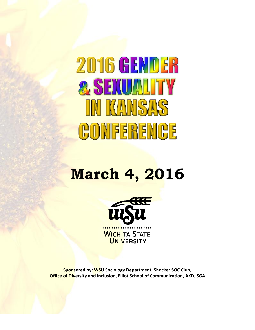# 2016 GENDER & SEXUALITY IN KANSAS CONFERENCE

## **March 4, 2016**



**Sponsored by: WSU Sociology Department, Shocker SOC Club, Office of Diversity and Inclusion, Elliot School of Communication, AKD, SGA**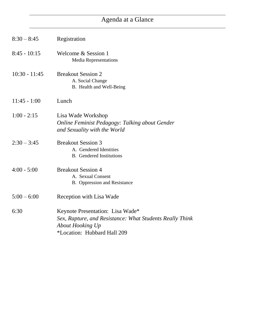## Agenda at a Glance

| $8:30 - 8:45$   | Registration                                                                                                                                           |
|-----------------|--------------------------------------------------------------------------------------------------------------------------------------------------------|
| $8:45 - 10:15$  | Welcome & Session 1<br><b>Media Representations</b>                                                                                                    |
| $10:30 - 11:45$ | <b>Breakout Session 2</b><br>A. Social Change<br>B. Health and Well-Being                                                                              |
| $11:45 - 1:00$  | Lunch                                                                                                                                                  |
| $1:00 - 2:15$   | Lisa Wade Workshop<br><b>Online Feminist Pedagogy: Talking about Gender</b><br>and Sexuality with the World                                            |
| $2:30 - 3:45$   | <b>Breakout Session 3</b><br>A. Gendered Identities<br><b>B.</b> Gendered Institutions                                                                 |
| $4:00 - 5:00$   | <b>Breakout Session 4</b><br>A. Sexual Consent<br>B. Oppression and Resistance                                                                         |
| $5:00 - 6:00$   | Reception with Lisa Wade                                                                                                                               |
| 6:30            | Keynote Presentation: Lisa Wade*<br>Sex, Rapture, and Resistance: What Students Really Think<br><b>About Hooking Up</b><br>*Location: Hubbard Hall 209 |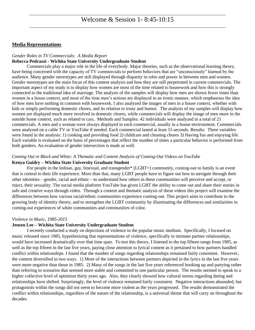#### **Media Representations**

#### *Gender Roles in TV Commercials: A Media Report*

#### **Rebecca Pedrazzi - Wichita State University Undergraduate Student**

Commercials play a major role in the life of everybody. Major theories, such as the observational learning theory, have being concerned with the capacity of TV commercials to perform behaviors that are "unconsciously" learned by the audience. Many gender stereotypes are still displayed through disparity in roles and power in between men and women. Gender stereotypes are the main focus of this content analysis and how they are still perpetrated in current commercials. The important aspect of my study is to display how women are most of the time related to housework and how this is strongly connected to the traditional idea of marriage. The analysis of the samples will display how men are shown fewer times than women in a house context, and most of the time men's actions are displayed in an ironic manner, which emphasizes the idea of how men have nothing in common with housework. I also analyzed the images of men in a house context, whether with kids or simply performing domestic chores, and its relation to irony and humor. The analysis of my samples will display how women are displayed much more involved in domestic chores, while commercials will display the image of men more in the outside home context, such as related to cars. Methods and Samples: 42 individuals were analyzed in a total of 21 commercials. A men and a woman were always displayed in each commercial, usually in a house environment. Commercials were analyzed on a cable TV or YouTube if needed. Each commercial lasted at least 15 seconds. Results: Three variables were found in the analysis: 1) cooking and providing food 2) childcare and cleaning chores 3) Having fun and enjoying life. Each variable is evaluated on the basis of percentages that reflect the number of times a particular behavior is performed from both genders. An evaluation of gender intersection is made as well.

#### *Coming Out in Black and White: A Thematic and Content Analysis of Coming-Out Videos on YouTube*

#### **Kenya Guidry – Wichita State University Graduate Student**

For people in the lesbian, gay, bisexual, and transgender\* (LGBT+) community, coming-out to family is an event that is central to their life experience. More than that, many LGBT people have to figure out how to navigate through their other identities—gender, racial and ethnic—to understand how others in these communities will perceive and accept, or reject, their sexuality. The social media platform YouTube has given LGBT the ability to come out and share their stories in safe and creative ways through video. Through a content and thematic analysis of these videos this project will examine the differences between how various racial/ethnic communities experience coming-out. This project aims to contribute to the growing body of identity theory, and to strengthen the LGBT community by illuminating the differences and similarities in coming-out experiences of white communities and communities of color.

#### *Violence in Music, 1985-2015*

#### **Jensen Lee – Wichita State University Undergraduate Student**

I recently conducted a study on depictions of violence in the popular music medium. Specifically, I focused on music released since 1985, hypothesizing that representations of violence, specifically in intimate partner relationships, would have increased dramatically over that time span. To test this theory, I listened to the top fifteen songs from 1985, as well as the top fifteen in the last five years, paying close attention to lyrical content as it pertained to how partners handled conflict within relationships. I found that the number of songs regarding relationships remained fairly consistent. However, the content diversified in two ways. 1) More of the interactions between partners depicted in the lyrics in the last five years were more negative than those in 1985. 2) Many of the songs in the last five years referenced hooking up and partying rather than referring to scenarios that seemed more stable and committed to one particular person. The results seemed to speak to a higher collective level of optimism thirty years ago. Also, they clearly showed how cultural norms regarding dating and relationships have shifted. Surprisingly, the level of violence remained fairly consistent. Negative interactions abounded, but protagonists within the songs did not seem to become more violent as the years progressed. The results demonstrated the conflict within relationships, regardless of the nature of the relationship, is a universal theme that will carry on throughout the decades.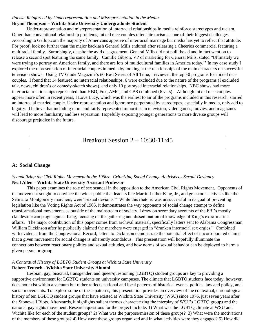#### *Racism Reinforced by Underrepresentation and Misrepresentation in the Media* **Brynn Thompson – Wichita State University Undergraduate Student**

Under-representation and misrepresentation of interracial relationships in media reinforce stereotypes and racism. Other than conventional relationship problems, mixed race couples often cite racism as one of their biggest challenges. According to Gallup.com the majority of Americans approve of interracial marriage but media has yet to reflect that attitude. For proof, look no further than the major backlash General Mills endured after releasing a Cheerios commercial featuring a multiracial family. Surprisingly, despite the avid disagreement, General Mills did not pull the ad and in fact went on to release a second spot featuring the same family. Camille Gibson, VP of marketing for General Mills, stated "Ultimately we were trying to portray an American family, and there are lots of multicultural families in America today.'' In my case study I explored the representation of interracial couples in media by looking at the relationships of the main characters on successful television shows. Using TV Guide Magazine's 60 Best Series of All Time, I reviewed the top 30 programs for mixed race couples. I found that 14 featured no interracial relationships, 6 were excluded due to the nature of the programs (I excluded talk, news, children's or comedy-sketch shows), and only 10 portrayed interracial relationships. NBC shows had more interracial relationships represented than HBO, Fox, AMC, and CBS combined (6 vs 5). Although mixed race couples appear more often in recent years, I Love Lucy, which was the earliest to air of the programs included in this research, starred an interracial married couple. Under-representation and ignorance perpetrated by stereotypes, especially in media, only add to bigotry. I believe that including more and fairly represented minorities in television, video games, movies, and magazines will lead to more familiarity and less separation. Hopefully exposing younger generations to more diverse groups will discourage prejudice in the future.

Breakout Session 2 – 10:30-11:45

#### **A: Social Change**

#### *Scandalizing the Civil Rights Movement in the 1960s: Criticizing Social Change Activists as Sexual Deviancy* **Neal Allen – Wichita State University Assistant Professor**

This paper examines the role of sex scandal in the opposition to the American Civil Rights Movement. Opponents of the movement sought to convince the wider public that leaders like Martin Luther King, Jr., and grassroots activists like the Selma to Montgomery marchers, were "sexual deviants." While this rhetoric was unsuccessful in its goal of preventing legislation like the Voting Rights Act of 1965, it demonstrates the way opponents of social change attempt to define transformational movements as outside of the mainstream of society. I draw on secondary accounts of the FBI's mostly clandestine campaign against King, focusing on the gathering and dissemination of knowledge of King's extra-marital affairs. The major contribution of this paper comes from archival material, specifically letters sent to Alabama Congressman William Dickinson after he publically claimed the marchers were engaged in "drunken interracial sex orgies." Combined with evidence from the Congressional Record, letters to Dickinson demonstrate the potential effect of uncorroborated claims that a given movement for social change is inherently scandalous. This presentation will hopefully illuminate the connections between reactionary politics and sexual attitudes, and how norms of sexual behavior can be deployed to harm a given person or group.

#### *A Contextual History of LGBTQ Student Groups at Wichita State University*

#### **Robert Teutsch - Wichita State University Alumni**

Lesbian, gay, bisexual, transgender, and queer/questioning (LGBTQ) student groups are key to providing a supportive environment for LGBTQ students on university campuses. The climate that LGBTQ students face today, however, does not exist within a vacuum but rather reflects national and local patterns of historical events, politics, law and policy, and social movements. To explore some of these patterns, this presentation provides an overview of the contextual, chronological history of ten LGBTQ student groups that have existed at Wichita State University (WSU) since 1976, just seven years after the Stonewall Riots. Afterwards, it highlights salient themes characterizing the interplay of WSU's LGBTQ groups and the national gay rights movement. Research questions for the project include: 1) What was the LGBTQ climate at WSU and Wichita like for each of the student groups? 2) What was the purpose/mission of these groups? 3) What were the motivations of the members of these groups? 4) How were these groups organized and in what activities were they engaged? 5) How did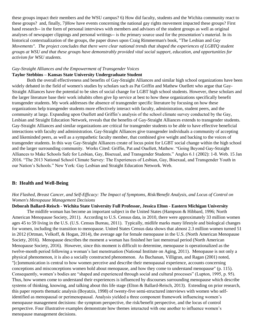these groups impact their members and the WSU campus? 6) How did faculty, students and the Wichita community react to these groups? and, finally, 7)How have events concerning the national gay rights movement impacted these groups? First hand research-- in the form of personal interviews with members and advisors of the student groups as well as original analyses of newspaper clippings and personal writings-- is the primary source used for the presentation's material. In its historical contextualization of the groups, the paper draws upon Craig Rimmerman's book, "The Lesbian and *Gay Movements". The project concludes that there were clear national trends that shaped the experiences of LGBTQ student groups at WSU and that these groups have demonstrably provided vital social support, education, and opportunities for activism for WSU students.*

## *Gay-Straight Alliances and the Empowerment of Transgender Voices*

#### **Taylor Stebbins – Kansas State University Undergraduate Student**

Both the overall effectiveness and benefits of Gay-Straight Alliances and similar high school organizations have been widely debated in the field of women's studies by scholars such as Pat Griffin and Mathew Ouellett who argue that Gay-Straight Alliances have the potential to be sites of social change for LGBT high school students. However, these scholars and the larger literature base their work inhabits often give lip service at best to how these organizations specifically benefit transgender students. My work addresses the absence of transgender specific literature by focusing on how these organizations help transgender students more effectively interact with faculty, administration, student peers, and the community at large. Expanding upon Ouellett and Griffin's analysis of the school climate survey conducted by the Gay, Lesbian and Straight Education Network, reveals that the benefits of Gay-Straight Alliances extends to transgender students. Gay-Straight Alliances and similar organizations are critical for transgender students to be able to have effective beneficial interactions with faculty and administration. Gay-Straight Alliances give transgender individuals a community of accepting and likeminded peers, as well as a sympathetic faculty member, that combined give weight and backing to the voices of transgender students. In this way Gay-Straight Alliances create of locus point for LGBT social change within the high school and the larger surrounding community. Works Cited: Griffin, Pat and Ouellett, Mathew. "Going Beyond Gay-Straight Alliances to Make Schools Safe for Lesbian, Gay, Bisexual, and Transgender Students." Angles 6.1 (2002): 1-8. Web. 15 Jan 2016. "The 2013 National School Climate Survey: The Experiences of Lesbian, Gay, Bisexual, and Transgender Youth in our Nation's Schools." New York: Gay Lesbian and Straight Education Network. Web.

#### **B: Health and Well-Being**

#### *Hot Flashed, Breast Cancer, and Self-Efficacy: The Impact of Symptoms, Risk/Benefit Analysis, and Locus of Control on Women's Menopause Management Decisions*

**Deborah Ballard-Reisch - Wichita State University Full Professor, Jessica Elton - Eastern Michigan University**

The midlife woman has become an important subject in the United States (Hampson & Hibbard, 1996; North American Menopause Society, 2011). According to U.S. Census data, in 2010, there were approximately 33 million women ages 45 to 59 living in the U.S. (U.S. Census Bureau, 2011). Typically, midlife marks many lifestyle and biological changes for women, including the transition to menopause. United States Census data shows that almost 2.3 million women turned 51 in 2012 (Ortman, Velkoff, & Hogan, 2014), the average age for female menopause in the U.S. (North American Menopause Society, 2016). Menopause describes the moment a woman has finished her last menstrual period (North American Menopause Society, 2016). However, since this moment is difficult to determine, menopause is operationalized as the twelve-month period following a woman's last menstruation (National Institute on Aging, 2011). Menopause is not only a physical phenomenon, it is also a socially constructed phenomenon. As Buchanan, Villigran, and Ragan (2001) noted, "[c]ommunication is central to how women perceive and describe their menopausal experience, accounts concerning conceptions and misconceptions women hold about menopause, and how they come to understand menopause" (p. 115). Consequently, women's bodies are "shaped and experienced through social and cultural processes" (Lupton, 1995, p. 95). Thus, how women come to understand their experiences is influenced by discourses surrounding menopause which describe systems of thinking, knowing, and talking about this life stage (Elton & Ballard-Reisch, 2013). Extending on prior research, this paper reports thematic analysis (Boyatzis, 1998) of twenty-five semi-structured interviews with women who selfidentified as menopausal or perimenopausal. Analysis yielded a three component framework influencing women's menopause management decisions: the symptom perspective, the risk/benefit perspective, and the locus of control perspective. Four illustrative examples demonstrate how themes interacted with one another to influence women's menopause management decisions.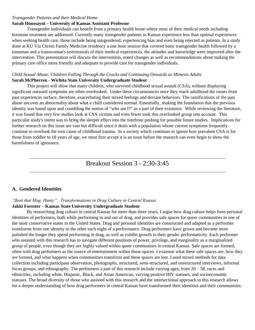#### *Transgender Patients and their Medical Home*

#### **Sarah Houssayni – University of Kansas Assistant Professor**

Transgender individuals can benefit from a primary health home where most of their medical needs including hormone treatment are addressed. Currently many transgender patients in Kansas experience less than optimal experiences when seeking health care, those include being misgendered, experiencing bias and even being rejected as patients. In a study done at KU Via Christi Family Medicine residency a one hour session that covered basic transgender health followed by a transman and a transwoman's testimonials of their medical experiences, the attitudes and knowledge were improved after the intervention. This presentation will discuss the intervention, noted changes as well as recommendations about making the primary care office more friendly and adequate to provide care for transgender individuals.

#### *Child Sexual Abuse: Children Falling Through the Cracks and Continuing Onwards as Mimesis Adults* **Sarah McPherren - Wichita State University Undergraduate Student**

This project will show that many children, who survived childhood sexual assault (CSA), without displaying significant outward symptoms are often overlooked. Under these circumstances once they reach adulthood the issues from past experiences surface, therefore, exacerbating their mixed feelings and deviant behaviors. The ramifications of the past abuse uncover an abnormality about what a child considered normal. Essentially, shaking the foundation that the previous identity was based upon and crumbling the notion of "who am I?" as a part of their existence. While reviewing the literature, it was found that very few studies look at CSA victims and even fewer took this overlooked group into account. This particular study's intent was to bring the sleeper effect into the forefront pushing for possible future studies. Implications for further research on this issue are vast but difficult since it deals with a population whose current symptoms frequently continue to overlook the root cause of childhood trauma. In a society which continues to ignore how prevalent CSA is for those from toddler to 18 years of age, we must first accept it is an issue before the research can even begin to show the harmfulness of ignorance.

## Breakout Session 3 - 2:30-3:45

#### **A. Gendered Identities**

#### *"Beat that Mug, Hunty": Transformations in Drag Culture in Central Kansas* **Jakki Forester – Kansas State University Undergraduate Student**

By researching drag culture in central Kansas for more than three years, I argue how drag culture helps form personal identities of performers, both while performing in and out of drag, and provides safe spaces for queer communities in one of the most conservative states in the United States. Drag and personal identities are constructed and adapted as a performer transforms from one identity to the other each night of a performance. Drag performers have grown and become more polished the longer they spend performing in drag, as well as exhibit growth in their gender performativity. Each performer who assisted with this research has to navigate different positions of power, privilege, and marginality as a marginalized group of people, even though they are highly valued within queer communities in central Kansas. Safe spaces are formed, often with drag performers as the source of entertainment within those spaces. I examine what these safe spaces are, how they are formed, and what happens when communities transform and these spaces are lost. I used mixed methods for data collection including participant observation, photographs, structured, semi-structured, and unstructured interviews, informal focus groups, and ethnography. The performers a part of this research include varying ages, from  $20 - 58$ , races and ethnicities, including white, Hispanic, Black, and Asian American, varying positive HIV statuses, and socioeconomic statuses. The broad diversity of those who assisted with this research and the intersectional approach to this research allows for a deeper understanding of how drag performers in central Kansas have transformed their identities and their communities.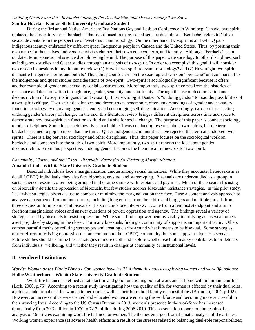#### *Undoing Gender and the "Berdache" through the Decolonizing and Deconstructing Two-Spirit* **Sandra Huerta – Kansas State University Graduate Student**

During the 3rd annual Native American/First Nations Gay and Lesbian Conference in Winnipeg, Canada, two-spirit replaced the derogatory term "berdache" that is still used in many social science disciplines. "Berdache" refers to Native sexual deviants from the perspective of Westerns in anthropology. On the other hand, two-spirit is an LGBTQ panindigenous identity embraced by different queer Indigenous people in Canada and the United States. Thus, by positing their own name for themselves, Indigenous activists claimed their own concept, term, and identity. Although "berdache" is an outdated term, some social science disciplines lag behind. The purpose of this paper is tie sociology to other disciplines, such as Indigenous studies and Queer studies, through an analysis of two-spirit. In order to accomplish this goal, I will consider two research questions in my literature review: (1) How is two-spirit relevant to sociology? and (2) How might two-spirit dismantle the gender norms and beliefs? Thus, this paper focuses on the sociological work on "berdache" and compares it to the indigenous and queer studies considerations of two-spirit. Two-spirit is sociologically significant because it offers another example of gender and sexuality social constructions. More importantly, two-spirit comes from the histories of resistance and decolonization through race, gender, sexuality, and spirituality. Through the use of decolonization and deconstruction of two-spirits in gender and sexuality, I use sociologist Deutsch's "undoing gender" to read the possibilities of a two-spirit critique. Two-spirit decolonizes and deconstructs hegemonic, often understandings of, gender and sexuality found in sociology by recreating gender identity and encouraging self-determination. Accordingly, two-spirit is enacting undoing gender's theory of change. In the end, this literature review bridges different disciplines across time and space to demonstrate how two-spirit can function as fluid and a site for social change. The purpose of this paper is connect sociology to other disciplines. Sometimes sociology lives in a bubble. I was conducting research about two-spirits, but the term berdache seemed to pop up more than anything. Queer indigenous communities have rejected this term and adopted twospirits. There is a lag between sociology and other disciplines. Thus, this paper focuses on the sociological work on berdache and compares it to the study of two-spirit. More importantly, two-spirit renews the idea about gender deconstruction. From this perspective, undoing gender becomes the theoretical framework for two-spirit.

#### *Community, Clarity, and the Closet: Bisexuals' Strategies for Resisting Marginalization* **Amanda Lind - Wichita State University Graduate Student**

Bisexual individuals face a marginalization unique among sexual minorities. While they encounter heterosexism as do all LGBTQ individuals, they also face biphobia, erasure, and stereotyping. Bisexuals are under-studied as a group in social science research, often being grouped in the same sample with lesbians and gay men. Much of the research focusing on bisexuality details the oppression of bisexuals, but few studies address bisexuals' resistance strategies. In this pilot study, I ask what strategies bisexuals use to combat or minimize the marginalization they face. I use a content analysis approach to analyze data gathered from online sources, including blog entries from three bisexual bloggers and multiple threads from three discussion forums aimed at bisexuals. I also include one interview. I come from a feminist standpoint and aim to forefront marginalized voices and answer questions of power, oppression and agency. The findings reveal a variety of strategies used by bisexuals to resist oppression. While some find empowerment by visibly identifying as bisexual, others avert prejudice by staying in the closet. For many bisexuals, finding a community of support is an important tactic. Others combat harmful myths by refuting stereotypes and creating clarity around what it means to be bisexual. Some strategies mirror efforts at resisting oppression that are common to the LGBTQ community, but some appear unique to bisexuals. Future studies should examine these strategies in more depth and explore whether each ultimately contributes to or detracts from individuals' wellbeing, and whether they result in changes at community or institutional levels.

#### **B. Gendered Institutions**

#### *Wonder Woman or the Bionic Bimbo - Can women have it all? A thematic analysis exploring women and work life balance* **Hollie Weatherburn - Wichita State University Graduate Student**

Work-life balance is defined as satisfaction and good functioning both at work and at home with minimum conflict (Lark, 2000, p.75). According to a recent study investigating how the quality of life for women is affected by their dual roles, a job is an additional task for women to perform as well as their household family responsibilities (Bhandari, 2004, p.102). However, an increase of career-oriented and educated women are entering the workforce and becoming more successful in their working lives. According to the US Census Bureau in 2013, women's presence in the workforce has increased dramatically from 30.3 million in 1970 to 72.7 million during 2006-2010. This presentation reports on the results of an analysis of 19 articles examining work life balance for women. The themes emerged from thematic analysis of the articles. Working women experience (a) adverse health effects as a result of the stresses related to balancing duel-role responsibilities;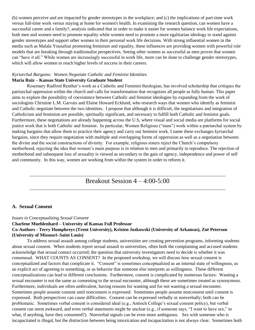(b) women perceive and are impacted by gender stereotypes in the workplace; and (c) the implications of part-time work versus full-time work versus staying at home for women's health. In examining the research question, can women have a successful career and a family?, analysis indicated that in order to make it easier for women balance work life expectations, both men and women need to promote equality while women need to promote a more egalitarian ideology to stand against gender stereotypes and support other women in their personal work life decisions. With strong influential women in the media such as Malala Yousafzai promoting feminism and equality, these influences are providing women with powerful role models that are breaking through traditionalist perspectives. Seeing other women as successful as men proves that women can "have it all." While women are increasingly successful in work life, more can be done to challenge gender stereotypes, which will allow women to reach higher levels of success in their careers.

#### *Kyriarchal Bargains: Women Negotiate Catholic and Feminist Identities* **Maria Ruiz – Kansas State University Graduate Student**

Rosemary Radford Reuther's work as a Catholic and Feminist theologian, has involved scholarship that critiques the patriarchal oppression within the church and calls for transformation that recognizes all people as fully human. This paper aims to explore the possibility of coexistence between Catholic and feminist ideologies by expanding from the work of sociologists Christine L.M. Garvais and Elaine Howard Ecklund, who research ways that women who identify as feminist and Catholic negotiate between the two identities. I propose that although it is difficult, the negotiations and integration of Catholicism and feminism are possible, spiritually significant, and necessary to fulfill both Catholic and feminist goals. Furthermore, these negotiations are already happening across the U.S, where visual and social media are platforms for social justice work that is both Catholic and feminist. In particular, Women Religious ("nuns") work within a patriarchal system by making bargains that allow them to practice their agency and carry out feminist work. I name these exchanges kyriarchal bargains, since they require negotiation with multiple and overlapping forms of oppression as well as a negotiation between the divine and the social constructions of divinity. For example, religious sisters reject the Church's compulsory motherhood, rejecting the idea that women's main purpose is in relation to men and primarily to reproduce. The rejection of motherhood and subsequent loss of sexuality is viewed as secondary to the gain of agency, independence and power of self and community. In this way, women are working from within the system in order to reform it.

### Breakout Session  $4 - 4:00 - 5:00$

#### **A. Sexual Consent**

#### *Issues in Conceptualizing Sexual Consent*

#### **Charlene Muehlenhard – University of Kansas Full Professor Co-Authors - Terry Humphreys (Trent University), Kristen Jozkowski (University of Arkansas), Zoë Peterson (University of Missouri–Saint Louis)**

To address sexual assault among college students, universities are creating prevention programs, informing students about sexual consent. When students report sexual assault to universities, often both the complaining and accused students acknowledge that sexual contact occurred; the question that university investigators need to decide is whether it was consensual. WHAT COUNTS AS CONSENT? In the proposed workshop, we will discuss how sexual consent is conceptualized and factors that complicate it. "Consent" is sometimes conceptualized as an internal state of willingness, as an explicit act of agreeing to something, or as behavior that someone else interprets as willingness. These different conceptualizations can lead to different conclusions. Furthermore, consent is complicated by numerous factors: Wanting a sexual encounter is not the same as consenting to the sexual encounter, although these are sometimes treated as synonymous. Furthermore, individuals are often ambivalent, having reasons for wanting and for not wanting a sexual encounter. Sometimes people assume consent until nonconsent is expressed. Sometimes people assume nonconsent until consent is expressed. Both perspectives can cause difficulties. Consent can be expressed verbally or nonverbally; both can be problematic. Sometimes verbal consent is considered ideal (e.g., Antioch College's sexual consent policy), but verbal consent can seem awkward, and even verbal statements might be unclear (e.g., if someone says, "I want to have sex," to what, if anything, have they consented?). Nonverbal signals can be even more ambiguous. Sex with someone who is incapacitated is illegal, but the distinction between being intoxication and incapacitation is not always clear. Sometimes both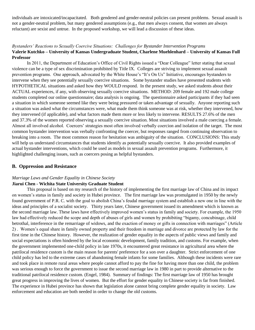individuals are intoxicated/incapacitated. Both gendered and gender-neutral policies can present problems. Sexual assault is not a gender-neutral problem, but many gendered assumptions (e.g., that men always consent, that women are always reluctant) are sexist and untrue. In the proposed workshop, we will lead a discussion of these ideas.

#### *Bystanders' Reactions to Sexually Coercive Situations: Challenges for Bystander Intervention Programs* **Valerie Kutchko – University of Kansas Undergraduate Student, Charlene Muehlenhard – University of Kansas Full Professor**

In 2011, the Department of Education's Office of Civil Rights issued a "Dear Colleague" letter stating that sexual violence can be a type of sex discrimination prohibited by Title IX. Colleges are striving to implement sexual assault prevention programs. One approach, advocated by the White House's "It's On Us" Initiative, encourages bystanders to intervene when they see potentially sexually coercive situations. Some bystander studies have presented students with HYPOTHETICAL situations and asked how they WOULD respond. In the present study, we asked students about their ACTUAL experiences, if any, with observing sexually coercive situations. METHOD: 209 female and 192 male college students completed our online questionnaire; data analysis is ongoing. The questionnaire asked participants if they had seen a situation in which someone seemed like they were being pressured or taken advantage of sexually. Anyone reporting such a situation was asked what the circumstances were, what made them think someone was at risk, whether they intervened, how they intervened (if applicable), and what factors made them more or less likely to intervene. RESULTS 27.6% of the men and 37.3% of the women reported observing a sexually coercive situation. Most situations involved a male coercing a female. Almost all involved alcohol. Coercers' strategies most often involved verbally coercion and isolation of the target. The most common bystander intervention was verbally confronting the coercer, but responses ranged from continuing observation to breaking into a room. The most common reason for hesitation was ambiguity of the situation. CONCLUSIONS: This study will help us understand circumstances that students identify as potentially sexually coercive. It also provided examples of actual bystander interventions, which could be used as models in sexual assault prevention programs. Furthermore, it highlighted challenging issues, such as coercers posing as helpful bystanders.

#### **B. Oppression and Resistance**

#### *Marriage Laws and Gender Equality in Chinese Society*

#### **Jiarui Chen - Wichita State University Graduate Student**

This proposal is based on my research of the history of implementing the first marriage law of China and its impact on women's status in family and society in Hubei province. The first marriage law was promulgated in 1950 by the newly found government of P.R. C. with the goal to abolish China's feudal marriage system and establish a new one in line with the ideas and principles of a socialist society. Thirty years later, Chinese government issued its amendment which is known as the second marriage law. These laws have effectively improved women's status in family and society. For example, the 1950 law had effectively reduced the scope and depth of abuses of girls and women by prohibiting "bigamy, concubinage, child betrothal, interference in the remarriage of widows, and the exaction of money or gifts in connection with marriages" (Article 2) . Women's equal share in family owned property and their freedom in marriage and divorce are protected by law for the first time in the Chinese history. However, the realization of gender equality in the aspects of public views and family and social expectations is often hindered by the local economic development, family tradition, and customs. For example, when the government implemented one-child policy in late 1970s, it encountered great resistance in agricultural area where the patrilocal residence custom is the main reason for parents' preference for a son over a daughter. Strict enforcement of one child policy has led to the extreme cases of abandoning female infants for some families. Although these incidents were rare and took place in remote rural areas where people cannot afford to pay the fine for having more than one child, the problem was serious enough to force the government to issue the second marriage law in 1980 in part to provide alternative to the traditional patrilocal residence custom. (Engel, 1984). Summary of findings: The first marriage law of 1950 has brought great progress in improving the lives of women. But the effort for gender equality in Chinese society is far from finished. The experience in Hubei province has shown that legislation alone cannot bring complete gender equality in society. Law enforcement and education are both needed in order to change the old customs.